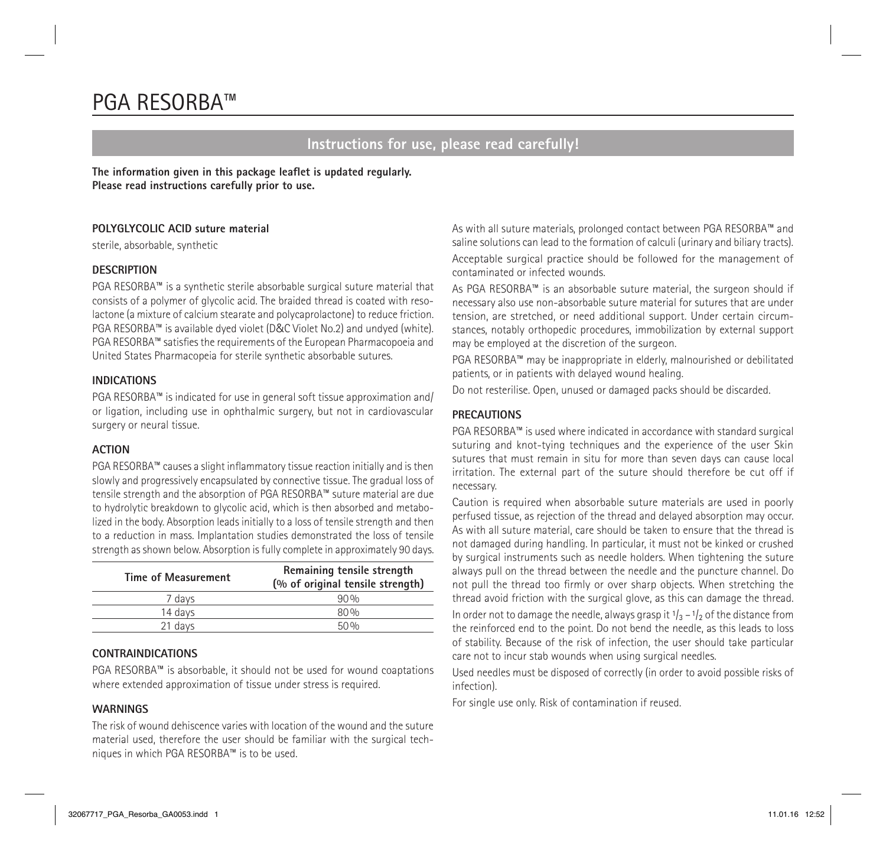# PGA RESORBA™

### **Instructions for use, please read carefully!**

**The information given in this package leaflet is updated regularly. Please read instructions carefully prior to use.**

#### **POLYGLYCOLIC ACID suture material**

sterile, absorbable, synthetic

#### **DESCRIPTION**

PGA RESORBA™ is a synthetic sterile absorbable surgical suture material that consists of a polymer of glycolic acid. The braided thread is coated with resolactone (a mixture of calcium stearate and polycaprolactone) to reduce friction. PGA RESORBA™ is available dyed violet (D&C Violet No.2) and undyed (white). PGA RESORBA™ satisfies the requirements of the European Pharmacopoeia and United States Pharmacopeia for sterile synthetic absorbable sutures.

#### **INDICATIONS**

PGA RESORBA™ is indicated for use in general soft tissue approximation and/ or ligation, including use in ophthalmic surgery, but not in cardiovascular surgery or neural tissue.

#### **ACTION**

PGA RESORBA™ causes a slight inflammatory tissue reaction initially and is then slowly and progressively encapsulated by connective tissue. The gradual loss of tensile strength and the absorption of PGA RESORBA™ suture material are due to hydrolytic breakdown to glycolic acid, which is then absorbed and metabolized in the body. Absorption leads initially to a loss of tensile strength and then to a reduction in mass. Implantation studies demonstrated the loss of tensile strength as shown below. Absorption is fully complete in approximately 90 days.

| Time of Measurement | Remaining tensile strength<br>(% of original tensile strength) |
|---------------------|----------------------------------------------------------------|
| 7 davs              | 90%                                                            |
| 14 davs             | 80%                                                            |
| 21 days             | 50%                                                            |

#### **CONTRAINDICATIONS**

PGA RESORBA™ is absorbable, it should not be used for wound coaptations where extended approximation of tissue under stress is required.

#### **WARNINGS**

The risk of wound dehiscence varies with location of the wound and the suture material used, therefore the user should be familiar with the surgical techniques in which PGA RESORBA™ is to be used.

As with all suture materials, prolonged contact between PGA RESORBA™ and saline solutions can lead to the formation of calculi (urinary and biliary tracts). Acceptable surgical practice should be followed for the management of contaminated or infected wounds.

As PGA RESORBA™ is an absorbable suture material, the surgeon should if necessary also use non-absorbable suture material for sutures that are under tension, are stretched, or need additional support. Under certain circumstances, notably orthopedic procedures, immobilization by external support may be employed at the discretion of the surgeon.

PGA RESORBA™ may be inappropriate in elderly, malnourished or debilitated patients, or in patients with delayed wound healing.

Do not resterilise. Open, unused or damaged packs should be discarded.

#### **PRECAUTIONS**

PGA RESORBA™ is used where indicated in accordance with standard surgical suturing and knot-tying techniques and the experience of the user Skin sutures that must remain in situ for more than seven days can cause local irritation. The external part of the suture should therefore be cut off if necessary.

Caution is required when absorbable suture materials are used in poorly perfused tissue, as rejection of the thread and delayed absorption may occur. As with all suture material, care should be taken to ensure that the thread is not damaged during handling. In particular, it must not be kinked or crushed by surgical instruments such as needle holders. When tightening the suture always pull on the thread between the needle and the puncture channel. Do not pull the thread too firmly or over sharp objects. When stretching the thread avoid friction with the surgical glove, as this can damage the thread. In order not to damage the needle, always grasp it  $1/3 - 1/2$  of the distance from the reinforced end to the point. Do not bend the needle, as this leads to loss of stability. Because of the risk of infection, the user should take particular care not to incur stab wounds when using surgical needles.

Used needles must be disposed of correctly (in order to avoid possible risks of infection).

For single use only. Risk of contamination if reused.